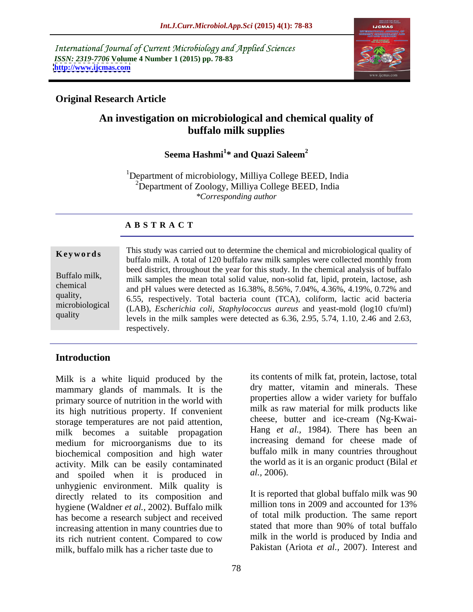International Journal of Current Microbiology and Applied Sciences *ISSN: 2319-7706* **Volume 4 Number 1 (2015) pp. 78-83 <http://www.ijcmas.com>**



# **Original Research Article**

# **An investigation on microbiological and chemical quality of buffalo milk supplies**

### Seema Hashmi<sup>1\*</sup> and Ouazi Saleem<sup>2</sup> **\* and Quazi Saleem<sup>2</sup>**

1Department of microbiology, Milliya College BEED, India <sup>2</sup>Department of Zoology, Milliya College BEED, India *\*Corresponding author*

### **A B S T R A C T**

quality

This study was carried out to determine the chemical and microbiological quality of **Keywords** This study was carried out to determine the chemical and incropropolated quality of buffalo milk. A total of 120 buffalo raw milk samples were collected monthly from beed district, throughout the year for this study. In the chemical analysis of buffalo Buffalo milk,<br>milk samples the mean total solid value, non-solid fat, lipid, protein, lactose, ash chemical and pH values were detected as 16.38%, 8.56%, 7.04%, 4.36%, 4.19%, 0.72% and quality, 6.55, respectively. Total bacteria count (TCA), coliform, lactic acid bacteria microbiological (LAB), *Escherichia coli, Staphylococcus aureus* and yeast-mold (log10 cfu/ml) levels in the milk samples were detected as 6.36, 2.95, 5.74, 1.10, 2.46 and 2.63, respectively.

# **Introduction**

Milk is a white liquid produced by the mammary glands of mammals. It is the primary source of nutrition in the world with its high nutritious property. If convenient storage temperatures are not paid attention, milk becomes a suitable propagation medium for microorganisms due to its biochemical composition and high water activity. Milk can be easily contaminated the world and spoiled when it is produced in  $dl$ , 2006). and spoiled when it is produced in unhygienic environment. Milk quality is<br>directly related to its composition and It is reported that global buffalo milk was 90 directly related to its composition and the reported that global burialo milk was 90<br>hydroge (Waldner et al. 2002) Buffalo milk hygiene (Waldner *et al.,* 2002). Buffalo milk has become a research subject and received increasing attention in many countries due to its rich nutrient content. Compared to cow milk, buffalo milk has a richer taste due to

its contents of milk fat, protein, lactose, total dry matter, vitamin and minerals. These properties allow a wider variety for buffalo milk as raw material for milk products like cheese, butter and ice-cream (Ng-Kwai- Hang *et al.,* 1984). There has been an increasing demand for cheese made of buffalo milk in many countries throughout the world as it is an organic product (Bilal *et* 

*al.,* 2006).<br>It is reported that global buffalo milk was 90 million tons in 2009 and accounted for 13% of total milk production. The same report stated that more than 90% of total buffalo milk in the world is produced by India and Pakistan (Ariota et al., 2007). Interest and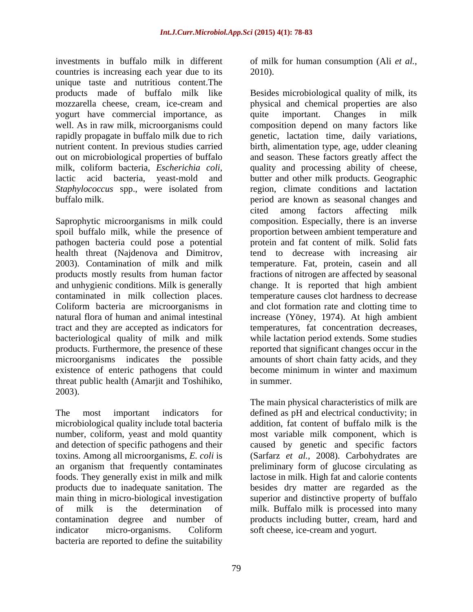investments in buffalo milk in different of milk for human consumption (Ali *et al.,* countries is increasing each year due to its 2010). unique taste and nutritious content.The yogurt have commercial importance, as quite important. Changes in milk

pathogen bacteria could pose a potential bacteriological quality of milk and milk existence of enteric pathogens that could become minimum in winter and maximum

microbiological quality include total bacteria number, coliform, yeast and mold quantity and detection of specific pathogens and their caused by genetic and specific factors toxins. Among all microorganisms, *E. coli* is (Sarfarz *et al.,* 2008). Carbohydrates are an organism that frequently contaminates preliminary form of glucose circulating as foods. They generally exist in milk and milk products due to inadequate sanitation. The besides dry matter are regarded as the main thing in micro-biological investigation superior and distinctive property of buffalo of milk is the determination of milk. Buffalo milk is processed into many contamination degree and number of products including butter, cream, hard and indicator micro-organisms. Coliform soft cheese, ice-cream and yogurt. bacteria are reported to define the suitability

2010).

products made of buffalo milk like Besides microbiological quality of milk, its mozzarella cheese, cream, ice-cream and physical and chemical properties are also well. As in raw milk, microorganisms could composition depend on many factors like rapidly propagate in buffalo milk due to rich genetic, lactation time, daily variations, nutrient content. In previous studies carried birth, alimentation type, age, udder cleaning out on microbiological properties of buffalo and season. These factors greatly affect the milk, coliform bacteria, *Escherichia coli*, a quality and processing ability of cheese, lactic acid bacteria, yeast-mold and butter and other milk products. Geographic *Staphylococcus* spp., were isolated from buffalo milk. period are known as seasonal changes and Saprophytic microorganisms in milk could composition. Especially, there is an inverse spoil buffalo milk, while the presence of proportion between ambient temperature and health threat (Najdenova and Dimitrov, tend to decrease with increasing air 2003). Contamination of milk and milk temperature. Fat, protein, casein and all products mostly results from human factor fractions of nitrogen are affected by seasonal and unhygienic conditions. Milk is generally change. It is reported that high ambient contaminated in milk collection places. temperature causes clot hardness to decrease Coliform bacteria are microorganisms in and clot formation rate and clotting time to natural flora of human and animal intestinal increase (Yöney, 1974). At high ambient tract and they are accepted as indicators for temperatures, fat concentration decreases, products. Furthermore, the presence of these reported that significant changes occur in the microorganisms indicates the possible amounts of short chain fatty acids, and they quite important. Changes in milk quality and processing ability of cheese, butter and other milk products. Geographic region, climate conditions and lactation cited among factors affecting milk protein and fat content of milk. Solid fats tend to decrease with increasing air temperature. Fat, protein, casein and all while lactation period extends. Some studies become minimum in winter and maximum in summer.

threat public health (Amarjit and Toshihiko, in summer.<br>2003). The main physical characteristics of milk are<br>The most important indicators for defined as pH and electrical conductivity; in The main physical characteristics of milk are defined as pH and electrical conductivity; in addition, fat content of buffalo milk is the most variable milk component, which is lactose in milk. High fat and calorie contents soft cheese, ice-cream and yogurt.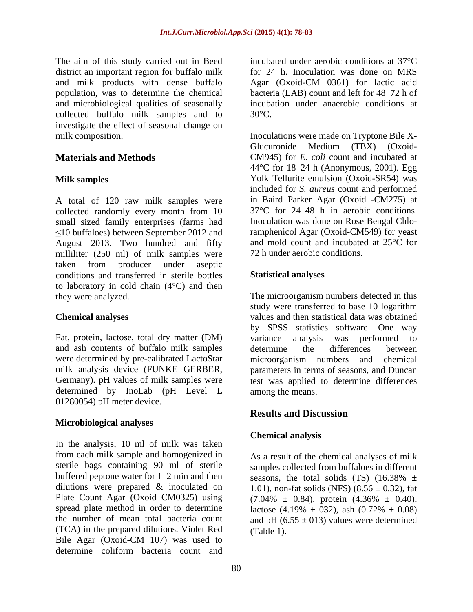The aim of this study carried out in Beed district an important region for buffalo milk and microbiological qualities of seasonally collected buffalo milk samples and to 30°C. investigate the effect of seasonal change on

A total of 120 raw milk samples were collected randomly every month from 10 small sized family enterprises (farms had  $\leq$ 10 buffaloes) between September 2012 and August 2013. Two hundred and fifty milliliter (250 ml) of milk samples were taken from producer under aseptic conditions and transferred in sterile bottles to laboratory in cold chain  $(4^{\circ}C)$  and then

Fat, protein, lactose, total dry matter (DM) variance analysis was performed to and ash contents of buffalo milk samples were determined by pre-calibrated LactoStar microorganism numbers and chemical determined by InoLab (pH Level L 01280054) pH meter device.

### **Microbiological analyses**

In the analysis, 10 ml of milk was taken from each milk sample and homogenized in sterile bags containing 90 ml of sterile samples collected from buffaloes in different buffered peptone water for 1–2 min and then seasons, the total solids (TS) (16.38%  $\pm$ dilutions were prepared & inoculated on  $1.01$ , non-fat solids (NFS) (8.56  $\pm$  0.32), fat Plate Count Agar (Oxoid CM0325) using  $(7.04\% \pm 0.84)$ , protein  $(4.36\% \pm 0.40)$ , spread plate method in order to determine lactose  $(4.19\% \pm 0.32)$ , ash  $(0.72\% \pm 0.08)$ the number of mean total bacteria count and pH  $(6.55 \pm 013)$  values were determined (TCA) in the prepared dilutions. Violet Red Bile Agar (Oxoid-CM 107) was used to determine coliform bacteria count and

and milk products with dense buffalo Agar (Oxoid-CM 0361) for lactic acid population, was to determine the chemical bacteria (LAB) count and left for 48–72 h of incubated under aerobic conditions at 37°C for 24 h. Inoculation was done on MRS incubation under anaerobic conditions at  $30^{\circ}$ C.

milk composition. Inoculations were made on Tryptone Bile X- **Materials and Methods** CM945) for *E. coli* count and incubated at **Milk samples**  Yolk Tellurite emulsion (Oxoid-SR54) was Glucuronide Medium (TBX) (Oxoid- 44 $\degree$ C for 18–24 h (Anonymous, 2001). Egg included for *S. aureus* count and performed in Baird Parker Agar (Oxoid -CM275) at 37°C for 24 48 h in aerobic conditions. Inoculation was done on Rose Bengal Chloramphenicol Agar (Oxoid-CM549) for yeast and mold count and incubated at 25°C for 72 h under aerobic conditions.

### **Statistical analyses**

they were analyzed. The microorganism numbers detected in this **Chemical analyses**  values and then statistical data was obtained milk analysis device (FUNKE GERBER, parameters in terms of seasons, and Duncan Germany). pH values of milk samples were test was applied to determine differences study were transferred to base 10 logarithm by SPSS statistics software. One way variance analysis was performed to determine the differences between microorganism numbers and chemical among the means.

# **Results and Discussion**

# **Chemical analysis**

As a result of the chemical analyses of milk seasons, the total solids (TS)  $(16.38\% \pm$  $(7.04\% \pm 0.84)$ , protein  $(4.36\% \pm 0.40)$ , lactose (4.19%  $\pm$  032), ash (0.72%  $\pm$  0.08) (Table 1).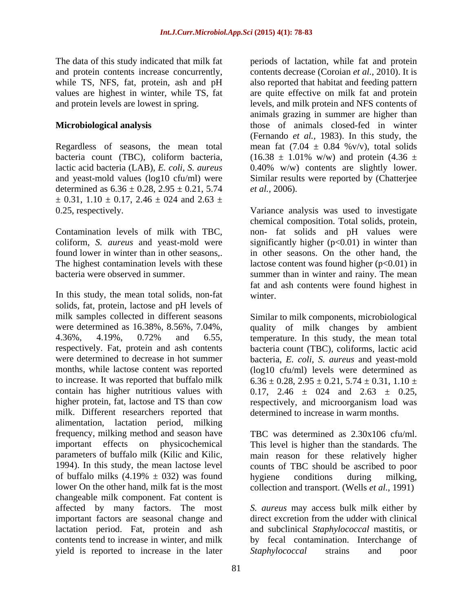The data of this study indicated that milk fat periods of lactation, while fat and protein while TS, NFS, fat, protein, ash and pH

Regardless of seasons, the mean total determined as  $6.36 \pm 0.28$ ,  $2.95 \pm 0.21$ ,  $5.74$  *et al.*, 2006).  $\pm$  0.31, 1.10  $\pm$  0.17, 2.46  $\pm$  024 and 2.63  $\pm$ 0.25, respectively. Variance analysis was used to investigate

In this study, the mean total solids, non-fat solids, fat, protein, lactose and pH levels of milk samples collected in different seasons Similar to milk components, microbiological were determined as 16.38%, 8.56%, 7.04%, quality of milk changes by ambient 4.36%, 4.19%, 0.72% and 6.55, temperature. In this study, the mean total respectively. Fat, protein and ash contents bacteria count (TBC), coliforms, lactic acid were determined to decrease in hot summer bacteria, *E. coli*, *S. aureus* and yeast-mold months, while lactose content was reported (log10 cfu/ml) levels were determined as to increase. It was reported that buffalo milk  $6.36 \pm 0.28, 2.95 \pm 0.21, 5.74 \pm 0.31, 1.10 \pm 0.000$ contain has higher nutritious values with  $0.17$ ,  $2.46 \pm 0.24$  and  $2.63 \pm 0.25$ , higher protein, fat, lactose and TS than cow respectively, and microorganism load was milk. Different researchers reported that alimentation, lactation period, milking frequency, milking method and season have important effects on physicochemical This level is higher than the standards. The parameters of buffalo milk (Kilic and Kilic, main reason for these relatively higher 1994). In this study, the mean lactose level counts of TBC should be ascribed to poor of buffalo milks  $(4.19\% \pm 032)$  was found<br>lower On the other hand, milk fat is the most collection and transport. (Wells *et al.*, 1991) lower On the other hand, milk fat is the most collection and transport. (Wells *et al.*, 1991) changeable milk component. Fat content is affected by many factors. The most *S. aureus* may access bulk milk either by important factors are seasonal change and direct excretion from the udder with clinical lactation period. Fat, protein and ash and subclinical *Staphylococcal* mastitis, or contents tend to increase in winter, and milk by fecal contamination. Interchange of yield is reported to increase in the later Staphylococcal strains and poor

and protein contents increase concurrently, contents decrease (Coroian *et al.*, 2010). It is values are highest in winter, while TS, fat are quite effective on milk fat and protein and protein levels are lowest in spring. levels, and milk protein and NFS contents of **Microbiological analysis**  those of animals closed-fed in winter bacteria count (TBC), coliform bacteria,  $(16.38 \pm 1.01\% \text{ w/w})$  and protein  $(4.36 \pm 1.01\%)$ lactic acid bacteria (LAB), *E. coli*, *S. aureus* 0.40% w/w) contents are slightly lower. and yeast-mold values (log10 cfu/ml) were Similar results were reported by (Chatterjee also reported that habitat and feeding pattern animals grazing in summer are higher than (Fernando *et al.,* 1983). In this study, the mean fat  $(7.04 \pm 0.84 \degree\text{v/v})$ , total solids

Contamination levels of milk with TBC, non- fat solids and pH values were coliform, *S. aureus* and yeast-mold were significantly higher (p<0.01) in winter than found lower in winter than in other seasons,. in other seasons. On the other hand, the The highest contamination levels with these lactose content was found higher  $(p<0.01)$  in bacteria were observed in summer. summer than in winter and rainy. The mean *et al.,* 2006).<br>Variance analysis was used to investigate chemical composition. Total solids, protein, fat and ash contents were found highest in winter.

determined to increase in warm months.

TBC was determined as 2.30x106 cfu/ml. main reason for these relatively higher counts of TBC should be ascribed to poor hygiene conditions during milking,

direct excretion from the udder with clinical *Staphylococcal* strains and poor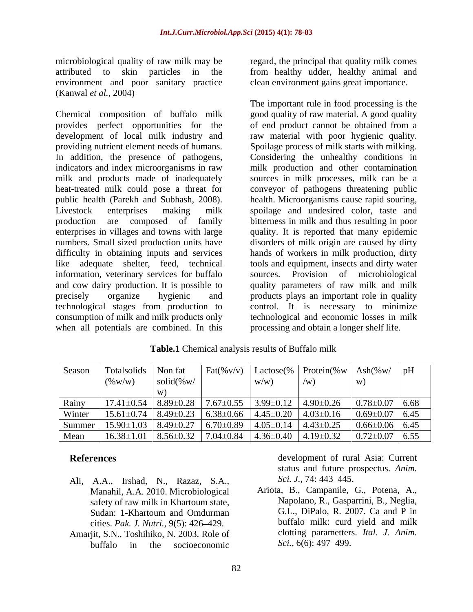microbiological quality of raw milk may be regard, the principal that quality milk comes attributed to skin particles in the from healthy udder, healthy animal and environment and poor sanitary practice (Kanwal *et al.,* 2004)

Chemical composition of buffalo milk In addition, the presence of pathogens, information, veterinary services for buffalo sources. Provision of microbiological consumption of milk and milk products only when all potentials are combined. In this

clean environment gains great importance.

provides perfect opportunities for the of end product cannot be obtained from a development of local milk industry and raw material with poor hygienic quality. providing nutrient element needs of humans. Spoilage process of milk starts with milking. indicators and index microorganisms in raw milk production and other contamination milk and products made of inadequately sources in milk processes, milk can be a heat-treated milk could pose a threat for conveyor of pathogens threatening public public health (Parekh and Subhash, 2008). lealth. Microorganisms cause rapid souring,<br>Livestock enterprises making milk spoilage and undesired color, taste and production are composed of family bitterness in milk and thus resulting in poor enterprises in villages and towns with large quality. It is reported that many epidemic numbers. Small sized production units have disorders of milk origin are caused by dirty difficulty in obtaining inputs and services hands of workers in milk production, dirty like adequate shelter, feed, technical tools and equipment, insects and dirty water and cow dairy production. It is possible to quality parameters of raw milk and milk precisely organize hygienic and products plays an important role in quality technological stages from production to control. It is necessary to minimize The important rule in food processing is the good quality of raw material. A good quality Considering the unhealthy conditions in health. Microorganisms cause rapid souring, spoilage and undesired color, taste and sources. Provision of microbiological technological and economic losses in milk processing and obtain a longer shelf life.

|       |           |          |  | Season   Totalsolids   Non fat   Fat $(\%v/v)$   Lactose $(\%$   Protein $(\%w \mid \text{Ash}(\%w / \mid \text{pH}))$                                       |  |
|-------|-----------|----------|--|--------------------------------------------------------------------------------------------------------------------------------------------------------------|--|
|       | $($ % W/W | solid(%w |  |                                                                                                                                                              |  |
|       |           |          |  |                                                                                                                                                              |  |
| Rainy |           |          |  | $\frac{1}{17.41\pm0.54}$   8.89 $\pm$ 0.28   7.67 $\pm$ 0.55   3.99 $\pm$ 0.12   4.90 $\pm$ 0.26   0.78 $\pm$ 0.07   6.68                                    |  |
|       |           |          |  | Winter   15.61±0.74   8.49±0.23   6.38±0.66   4.45±0.20   4.03±0.16   0.69±0.07   6.45                                                                       |  |
|       |           |          |  | Summer $\vert$ 15.90±1.03 $\vert$ 8.49±0.27 $\vert$ 6.70±0.89 $\vert$ 4.05±0.14 $\vert$ 4.43±0.25 $\vert$ 0.66±0.06 $\vert$ 6.45                             |  |
|       |           |          |  | Mean $\left  16.38 \pm 1.01 \right  8.56 \pm 0.32 \left  7.04 \pm 0.84 \right  4.36 \pm 0.40 \left  4.19 \pm 0.32 \right  0.72 \pm 0.07 \left  6.55 \right $ |  |

**Table.1** Chemical analysis results of Buffalo milk

- Ali, A.A., Irshad, N., Razaz, S.A., Manahil, A.A. 2010. Microbiological safety of raw milk in Khartoum state, cities. *Pak. J. Nutri.,* 9(5): 426 429.
- Amarjit, S.N., Toshihiko, N. 2003. Role of clotting parametters<br>buffalo in the socioeconomic Sci., 6(6): 497–499. buffalo in the socioeconomic  $\delta$  Sci., 6(6): 497–499.

**References** development of rural Asia: Current status and future prospectus. *Anim. Sci. J.,* 74: 443–445.

Sudan: 1-Khartoum and Omdurman G.L., DiPalo, R. 2007. Ca and P in Ariota, B., Campanile, G., Potena, A., Napolano, R., Gasparrini, B., Neglia, G.L., DiPalo, R. 2007. Ca and P in buffalo milk: curd yield and milk clotting parametters. *Ital. J. Anim. Sci.,* 6(6): 497–499.